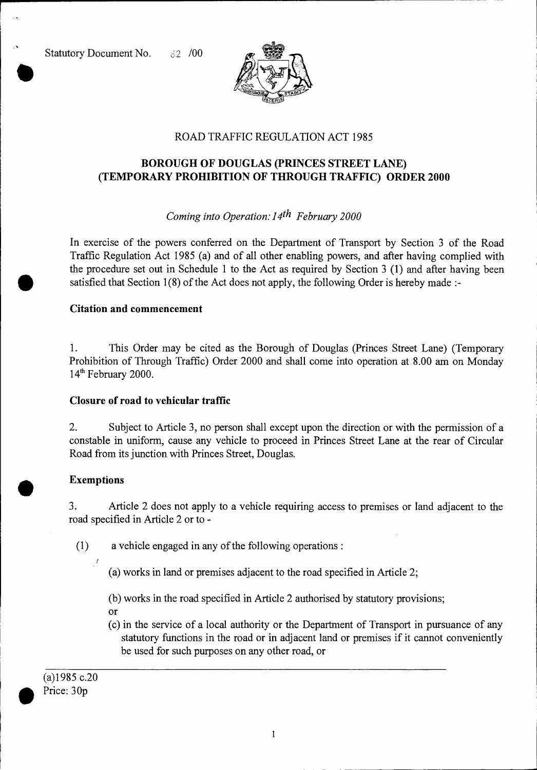Statutory Document No. 62 /00



## ROAD TRAFFIC REGULATION ACT 1985

# **BOROUGH OF DOUGLAS (PRINCES STREET LANE) (TEMPORARY PROHIBITION OF THROUGH TRAFFIC) ORDER 2000**

# *Coming into Operation: 14th February 2000*

In exercise of the powers conferred on the Department of Transport by Section 3 of the Road Traffic Regulation Act 1985 (a) and of all other enabling powers, and after having complied with the procedure set out in Schedule 1 to the Act as required by Section 3 (1) and after having been satisfied that Section 1(8) of the Act does not apply, the following Order is hereby made :-

#### **Citation and commencement**

1. This Order may be cited as the Borough of Douglas (Princes Street Lane) (Temporary Prohibition of Through Traffic) Order 2000 and shall come into operation at 8.00 am on Monday  $14<sup>th</sup>$  February 2000.

## **Closure of road to vehicular traffic**

2. Subject to Article 3, no person shall except upon the direction or with the permission of a constable in uniform, cause any vehicle to proceed in Princes Street Lane at the rear of Circular Road from its junction with Princes Street, Douglas.

## **Exemptions**

3. Article 2 does not apply to a vehicle requiring access to premises or land adjacent to the road specified in Article 2 or to -

**(1)** a vehicle engaged in any of the following operations :

- (a) works in land or premises adjacent to the road specified in Article 2;
- (b) works in the road specified in Article 2 authorised by statutory provisions;
- or
- (c) in the service of a local authority or the Department of Transport in pursuance of any statutory functions in the road or in adjacent land or premises if it cannot conveniently be used for such purposes on any other road, or

(a)1985 c.20 Price: 30p